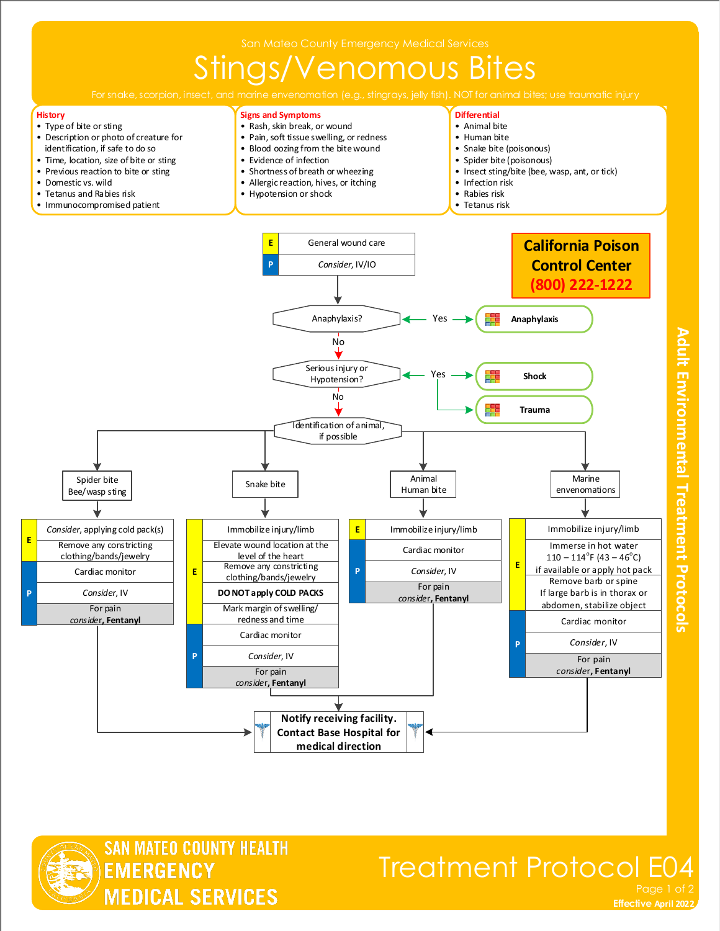# Stings/Venomous Bites

**Signs and Symptoms** • Rash, skin break, or wound • Pain, soft tissue swelling, or redness **Differential** • Animal bite • Human bite

#### **History**

- Type of bite or sting • Description or photo of creature for identification, if safe to do so
- 





### Treatment Protocol E04 Page 1 of

**Effective November 2018 Effective April 2022**